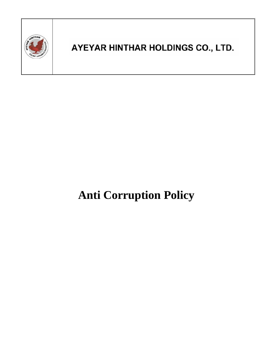

# **Anti Corruption Policy**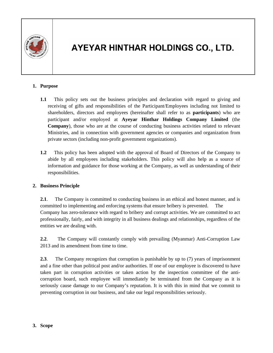

#### **1. Purpose**

- **1.1** This policy sets out the business principles and declaration with regard to giving and receiving of gifts and responsibilities of the Participant/Employees including not limited to shareholders, directors and employees (hereinafter shall refer to as **participants**) who are participant and/or employed at **Ayeyar Hinthar Holdings Company Limited** (the **Company**), those who are at the course of conducting business activities related to relevant Ministries, and in connection with government agencies or companies and organization from private sectors (including non-profit government organizations).
- **1.2** This policy has been adopted with the approval of Board of Directors of the Company to abide by all employees including stakeholders. This policy will also help as a source of information and guidance for those working at the Company, as well as understanding of their responsibilities.

#### **2. Business Principle**

**2.1**. The Company is committed to conducting business in an ethical and honest manner, and is committed to implementing and enforcing systems that ensure bribery is prevented. The Company has zero-tolerance with regard to bribery and corrupt activities. We are committed to act professionally, fairly, and with integrity in all business dealings and relationships, regardless of the entities we are dealing with.

**2.2**. The Company will constantly comply with prevailing (Myanmar) Anti-Corruption Law 2013 and its amendment from time to time.

**2.3**. The Company recognizes that corruption is punishable by up to (7) years of imprisonment and a fine other than political post and/or authorities. If one of our employee is discovered to have taken part in corruption activities or taken action by the inspection committee of the anticorruption board, such employee will immediately be terminated from the Company as it is seriously cause damage to our Company's reputation. It is with this in mind that we commit to preventing corruption in our business, and take our legal responsibilities seriously.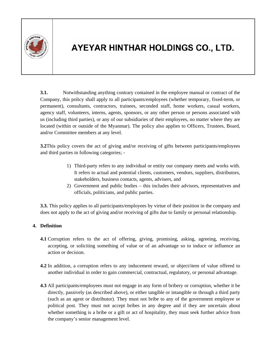

**3.1.** Notwithstanding anything contrary contained in the employee manual or contract of the Company, this policy shall apply to all participants/employees (whether temporary, fixed-term, or permanent), consultants, contractors, trainees, seconded staff, home workers, casual workers, agency staff, volunteers, interns, agents, sponsors, or any other person or persons associated with us (including third parties), or any of our subsidiaries of their employees, no matter where they are located (within or outside of the Myanmar). The policy also applies to Officers, Trustees, Board, and/or Committee members at any level.

**3.2**This policy covers the act of giving and/or receiving of gifts between participants/employees and third parties in following categories; -

- 1) Third-party refers to any individual or entity our company meets and works with. It refers to actual and potential clients, customers, vendors, suppliers, distributors, stakeholders, business contacts, agents, advisers, and
- 2) Government and public bodies this includes their advisors, representatives and officials, politicians, and public parties.

**3.3.** This policy applies to all participants/employees by virtue of their position in the company and does not apply to the act of giving and/or receiving of gifts due to family or personal relationship.

#### **4. Definition**

- **4.1** Corruption refers to the act of offering, giving, promising, asking, agreeing, receiving, accepting, or soliciting something of value or of an advantage so to induce or influence an action or decision.
- **4.2** In addition, a corruption refers to any inducement reward, or object/item of value offered to another individual in order to gain commercial, contractual, regulatory, or personal advantage.
- **4.3** All participants/employees must not engage in any form of bribery or corruption, whether it be directly, passively (as described above), or either tangible or intangible or through a third party (such as an agent or distributor). They must not bribe to any of the government employee or political post. They must not accept bribes in any degree and if they are uncertain about whether something is a bribe or a gift or act of hospitality, they must seek further advice from the company's senior management level.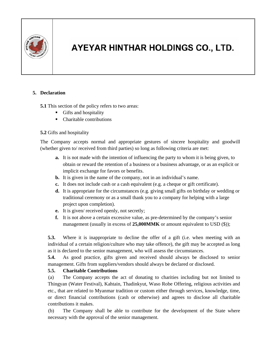

#### **5. Declaration**

**5.1** This section of the policy refers to two areas:

- Gifts and hospitality
- Charitable contributions

#### **5.2** Gifts and hospitality

The Company accepts normal and appropriate gestures of sincere hospitality and goodwill (whether given to/ received from third parties) so long as following criteria are met:

- **a.** It is not made with the intention of influencing the party to whom it is being given, to obtain or reward the retention of a business or a business advantage, or as an explicit or implicit exchange for favors or benefits.
- **b.** It is given in the name of the company, not in an individual's name.
- **c.** It does not include cash or a cash equivalent (e.g. a cheque or gift certificate).
- **d.** It is appropriate for the circumstances (e.g. giving small gifts on birthday or wedding or traditional ceremony or as a small thank you to a company for helping with a large project upon completion).
- **e.** It is given/ received openly, not secretly;
- **f.** It is not above a certain excessive value, as pre-determined by the company's senior management (usually in excess of **25,000MMK** or amount equivalent to USD (\$));

**5.3.** Where it is inappropriate to decline the offer of a gift (i.e. when meeting with an individual of a certain religion/culture who may take offence), the gift may be accepted as long as it is declared to the senior management, who will assess the circumstances.

**5.4.** As good practice, gifts given and received should always be disclosed to senior management. Gifts from suppliers/vendors should always be declared or disclosed.

#### **5.5. Charitable Contributions**

(a) The Company accepts the act of donating to charities including but not limited to Thingyan (Water Festival), Kahtain, Thadinkyut, Waso Robe Offering, religious activities and etc., that are related to Myanmar tradition or custom either through services, knowledge, time, or direct financial contributions (cash or otherwise) and agrees to disclose all charitable contributions it makes.

(b) The Company shall be able to contribute for the development of the State where necessary with the approval of the senior management.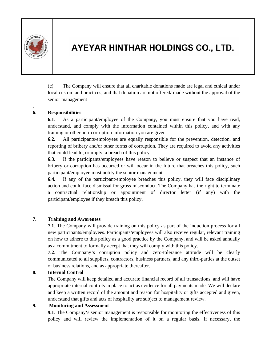

.

# AYEYAR HINTHAR HOLDINGS CO., LTD.

 (c) The Company will ensure that all charitable donations made are legal and ethical under local custom and practices, and that donation are not offered/ made without the approval of the senior management

#### **6. Responsibilities**

**6.1**. As a participant/employee of the Company, you must ensure that you have read, understand, and comply with the information contained within this policy, and with any training or other anti-corruption information you are given.

**6.2.** All participants/employees are equally responsible for the prevention, detection, and reporting of bribery and/or other forms of corruption. They are required to avoid any activities that could lead to, or imply, a breach of this policy.

**6.3.** If the participants/employees have reason to believe or suspect that an instance of bribery or corruption has occurred or will occur in the future that breaches this policy, such participant/employee must notify the senior management.

**6.4.** If any of the participant/employee breaches this policy, they will face disciplinary action and could face dismissal for gross misconduct. The Company has the right to terminate a contractual relationship or appointment of director letter (if any) with the participant/employee if they breach this policy.

#### **7. Training and Awareness**

**7.1**. The Company will provide training on this policy as part of the induction process for all new participants/employees. Participants/employees will also receive regular, relevant training on how to adhere to this policy as a good practice by the Company, and will be asked annually as a commitment to formally accept that they will comply with this policy.

**7.2**. The Company's corruption policy and zero-tolerance attitude will be clearly communicated to all suppliers, contractors, business partners, and any third-parties at the outset of business relations, and as appropriate thereafter.

#### **8. Internal Control**

The Company will keep detailed and accurate financial record of all transactions, and will have appropriate internal controls in place to act as evidence for all payments made. We will declare and keep a written record of the amount and reason for hospitality or gifts accepted and given, understand that gifts and acts of hospitality are subject to management review.

#### **9. Monitoring and Assessment**

**9.1**. The Company's senior management is responsible for monitoring the effectiveness of this policy and will review the implementation of it on a regular basis. If necessary, the